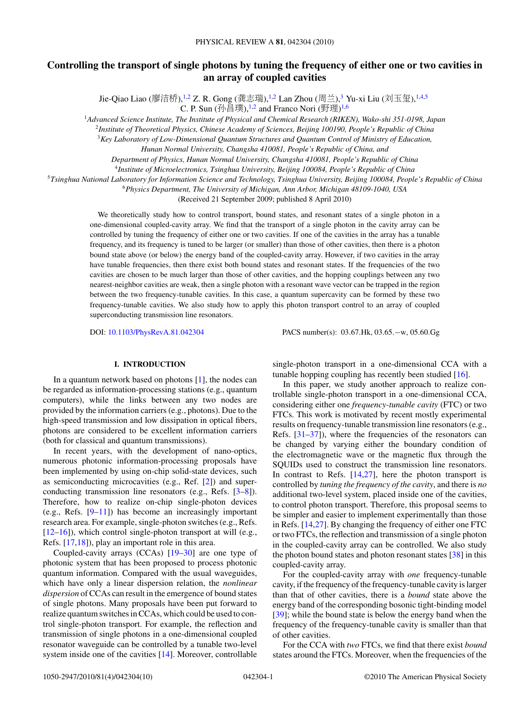# **Controlling the transport of single photons by tuning the frequency of either one or two cavities in an array of coupled cavities**

Jie-Qiao Liao (廖洁桥),<sup>1,2</sup> Z. R. Gong (龚志瑞),<sup>1,2</sup> Lan Zhou (周兰),<sup>3</sup> Yu-xi Liu (刘玉玺),<sup>1,4,5</sup>

C. P. Sun  $(\frac{\pi}{2})$ ,  $\frac{1}{2}$  and Franco Nori  $(\frac{\pi}{2})^{1.6}$ 

<sup>1</sup>*Advanced Science Institute, The Institute of Physical and Chemical Research (RIKEN), Wako-shi 351-0198, Japan*

<sup>2</sup>*Institute of Theoretical Physics, Chinese Academy of Sciences, Beijing 100190, People's Republic of China*

<sup>3</sup>*Key Laboratory of Low-Dimensional Quantum Structures and Quantum Control of Ministry of Education,*

*Hunan Normal University, Changsha 410081, People's Republic of China, and*

*Department of Physics, Hunan Normal University, Changsha 410081, People's Republic of China*

<sup>4</sup>*Institute of Microelectronics, Tsinghua University, Beijing 100084, People's Republic of China*

<sup>5</sup>*Tsinghua National Laboratory for Information Science and Technology, Tsinghua University, Beijing 100084, People's Republic of China*

<sup>6</sup>*Physics Department, The University of Michigan, Ann Arbor, Michigan 48109-1040, USA*

(Received 21 September 2009; published 8 April 2010)

We theoretically study how to control transport, bound states, and resonant states of a single photon in a one-dimensional coupled-cavity array. We find that the transport of a single photon in the cavity array can be controlled by tuning the frequency of either one or two cavities. If one of the cavities in the array has a tunable frequency, and its frequency is tuned to be larger (or smaller) than those of other cavities, then there is a photon bound state above (or below) the energy band of the coupled-cavity array. However, if two cavities in the array have tunable frequencies, then there exist both bound states and resonant states. If the frequencies of the two cavities are chosen to be much larger than those of other cavities, and the hopping couplings between any two nearest-neighbor cavities are weak, then a single photon with a resonant wave vector can be trapped in the region between the two frequency-tunable cavities. In this case, a quantum supercavity can be formed by these two frequency-tunable cavities. We also study how to apply this photon transport control to an array of coupled superconducting transmission line resonators.

DOI: [10.1103/PhysRevA.81.042304](http://dx.doi.org/10.1103/PhysRevA.81.042304) PACS number(s): 03*.*67*.*Hk, 03*.*65*.*−w, 05*.*60*.*Gg

# **I. INTRODUCTION**

In a quantum network based on photons [\[1\]](#page-9-0), the nodes can be regarded as information-processing stations (e.g., quantum computers), while the links between any two nodes are provided by the information carriers (e.g., photons). Due to the high-speed transmission and low dissipation in optical fibers, photons are considered to be excellent information carriers (both for classical and quantum transmissions).

In recent years, with the development of nano-optics, numerous photonic information-processing proposals have been implemented by using on-chip solid-state devices, such as semiconducting microcavities (e.g., Ref. [\[2\]](#page-9-0)) and superconducting transmission line resonators (e.g., Refs. [\[3–8\]](#page-9-0)). Therefore, how to realize on-chip single-photon devices (e.g., Refs.  $[9-11]$ ) has become an increasingly important research area. For example, single-photon switches (e.g., Refs. [\[12–16\]](#page-9-0)), which control single-photon transport at will (e.g., Refs. [\[17,18\]](#page-9-0)), play an important role in this area.

Coupled-cavity arrays (CCAs) [\[19–30\]](#page-9-0) are one type of photonic system that has been proposed to process photonic quantum information. Compared with the usual waveguides, which have only a linear dispersion relation, the *nonlinear dispersion* of CCAs can result in the emergence of bound states of single photons. Many proposals have been put forward to realize quantum switches in CCAs, which could be used to control single-photon transport. For example, the reflection and transmission of single photons in a one-dimensional coupled resonator waveguide can be controlled by a tunable two-level system inside one of the cavities [\[14\]](#page-9-0). Moreover, controllable single-photon transport in a one-dimensional CCA with a tunable hopping coupling has recently been studied [\[16\]](#page-9-0).

In this paper, we study another approach to realize controllable single-photon transport in a one-dimensional CCA, considering either one *frequency-tunable cavity* (FTC) or two FTCs. This work is motivated by recent mostly experimental results on frequency-tunable transmission line resonators (e.g., Refs. [\[31–37\]](#page-9-0)), where the frequencies of the resonators can be changed by varying either the boundary condition of the electromagnetic wave or the magnetic flux through the SQUIDs used to construct the transmission line resonators. In contrast to Refs. [\[14,27\]](#page-9-0), here the photon transport is controlled by *tuning the frequency of the cavity*, and there is *no* additional two-level system, placed inside one of the cavities, to control photon transport. Therefore, this proposal seems to be simpler and easier to implement experimentally than those in Refs. [\[14,27\]](#page-9-0). By changing the frequency of either one FTC or two FTCs, the reflection and transmission of a single photon in the coupled-cavity array can be controlled. We also study the photon bound states and photon resonant states [\[38\]](#page-9-0) in this coupled-cavity array.

For the coupled-cavity array with *one* frequency-tunable cavity, if the frequency of the frequency-tunable cavity is larger than that of other cavities, there is a *bound* state above the energy band of the corresponding bosonic tight-binding model [\[39\]](#page-9-0); while the bound state is below the energy band when the frequency of the frequency-tunable cavity is smaller than that of other cavities.

For the CCA with *two* FTCs, we find that there exist *bound* states around the FTCs. Moreover, when the frequencies of the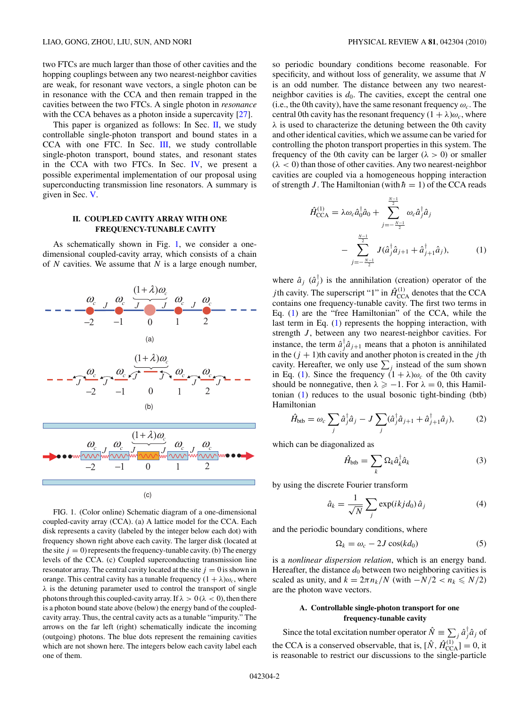<span id="page-1-0"></span>two FTCs are much larger than those of other cavities and the hopping couplings between any two nearest-neighbor cavities are weak, for resonant wave vectors, a single photon can be in resonance with the CCA and then remain trapped in the cavities between the two FTCs. A single photon in *resonance* with the CCA behaves as a photon inside a supercavity [\[27\]](#page-9-0).

This paper is organized as follows: In Sec. II, we study controllable single-photon transport and bound states in a CCA with one FTC. In Sec. [III,](#page-3-0) we study controllable single-photon transport, bound states, and resonant states in the CCA with two FTCs. In Sec. [IV,](#page-7-0) we present a possible experimental implementation of our proposal using superconducting transmission line resonators. A summary is given in Sec. [V.](#page-8-0)

### **II. COUPLED CAVITY ARRAY WITH ONE FREQUENCY-TUNABLE CAVITY**

As schematically shown in Fig. 1, we consider a onedimensional coupled-cavity array, which consists of a chain of *N* cavities. We assume that *N* is a large enough number,



FIG. 1. (Color online) Schematic diagram of a one-dimensional coupled-cavity array (CCA). (a) A lattice model for the CCA. Each disk represents a cavity (labeled by the integer below each dot) with frequency shown right above each cavity. The larger disk (located at the site  $j = 0$ ) represents the frequency-tunable cavity. (b) The energy levels of the CCA. (c) Coupled superconducting transmission line resonator array. The central cavity located at the site  $j = 0$  is shown in orange. This central cavity has a tunable frequency  $(1 + \lambda)\omega_c$ , where  $\lambda$  is the detuning parameter used to control the transport of single photons through this coupled-cavity array. If  $\lambda > 0$  ( $\lambda < 0$ ), then there is a photon bound state above (below) the energy band of the coupledcavity array. Thus, the central cavity acts as a tunable "impurity." The arrows on the far left (right) schematically indicate the incoming (outgoing) photons. The blue dots represent the remaining cavities which are not shown here. The integers below each cavity label each one of them.

so periodic boundary conditions become reasonable. For specificity, and without loss of generality, we assume that *N* is an odd number. The distance between any two nearestneighbor cavities is  $d_0$ . The cavities, except the central one (i.e., the 0th cavity), have the same resonant frequency  $\omega_c$ . The central 0th cavity has the resonant frequency  $(1 + \lambda)\omega_c$ , where *λ* is used to characterize the detuning between the 0th cavity and other identical cavities, which we assume can be varied for controlling the photon transport properties in this system. The frequency of the 0th cavity can be larger  $(\lambda > 0)$  or smaller  $(\lambda < 0)$  than those of other cavities. Any two nearest-neighbor cavities are coupled via a homogeneous hopping interaction of strength *J*. The Hamiltonian (with  $\hbar = 1$ ) of the CCA reads

$$
\hat{H}_{\text{CCA}}^{(1)} = \lambda \omega_c \hat{a}_0^{\dagger} \hat{a}_0 + \sum_{j=-\frac{N-1}{2}}^{\frac{N-1}{2}} \omega_c \hat{a}_j^{\dagger} \hat{a}_j \n- \sum_{j=-\frac{N-1}{2}}^{\frac{N-1}{2}} J(\hat{a}_j^{\dagger} \hat{a}_{j+1} + \hat{a}_{j+1}^{\dagger} \hat{a}_j),
$$
\n(1)

where  $\hat{a}_j$  ( $\hat{a}_j^{\dagger}$ ) is the annihilation (creation) operator of the *j*th cavity. The superscript "1" in  $\hat{H}_{\text{CCA}}^{(1)}$  denotes that the CCA contains one frequency-tunable cavity. The first two terms in Eq. (1) are the "free Hamiltonian" of the CCA, while the last term in Eq. (1) represents the hopping interaction, with strength *J*, between any two nearest-neighbor cavities. For instance, the term  $\hat{a}^{\dagger}_{j}\hat{a}_{j+1}$  means that a photon is annihilated in the  $(j + 1)$ th cavity and another photon is created in the *j*th cavity. Hereafter, we only use  $\sum_j$  instead of the sum shown in Eq. (1). Since the frequency  $(1 + \lambda)\omega_c$  of the 0th cavity should be nonnegative, then  $\lambda \ge -1$ . For  $\lambda = 0$ , this Hamiltonian (1) reduces to the usual bosonic tight-binding (btb) Hamiltonian

$$
\hat{H}_{\text{btb}} = \omega_c \sum_j \hat{a}_j^{\dagger} \hat{a}_j - J \sum_j (\hat{a}_j^{\dagger} \hat{a}_{j+1} + \hat{a}_{j+1}^{\dagger} \hat{a}_j), \tag{2}
$$

which can be diagonalized as

$$
\hat{H}_{\rm{btb}} = \sum_{k} \Omega_k \hat{a}_k^{\dagger} \hat{a}_k \tag{3}
$$

by using the discrete Fourier transform

$$
\hat{a}_k = \frac{1}{\sqrt{N}} \sum_j \exp(ikj d_0) \hat{a}_j \tag{4}
$$

and the periodic boundary conditions, where

$$
\Omega_k = \omega_c - 2J\cos(kd_0) \tag{5}
$$

is a *nonlinear dispersion relation*, which is an energy band. Hereafter, the distance  $d_0$  between two neighboring cavities is scaled as unity, and  $k = 2\pi n_k/N$  (with  $-N/2 < n_k \le N/2$ ) are the photon wave vectors.

### **A. Controllable single-photon transport for one frequency-tunable cavity**

Since the total excitation number operator  $\hat{N} \equiv \sum_j \hat{a}_j^{\dagger} \hat{a}_j$  of the CCA is a conserved observable, that is,  $[\hat{N}, \hat{H}_{\text{CCA}}^{(1)}] = 0$ , it is reasonable to restrict our discussions to the single-particle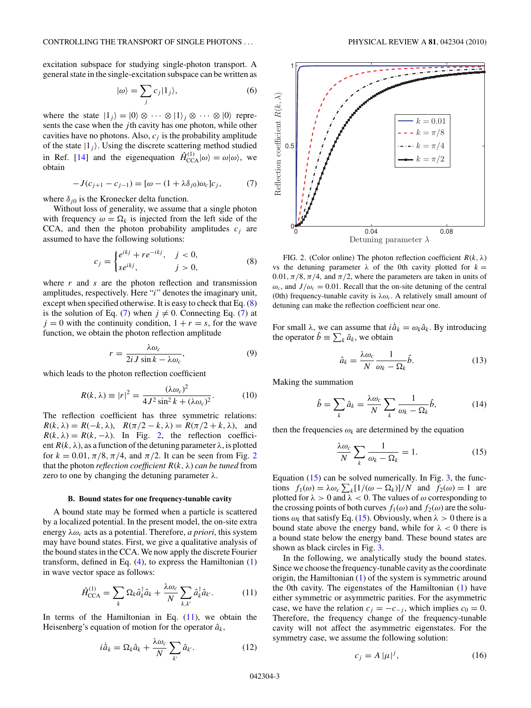<span id="page-2-0"></span>excitation subspace for studying single-photon transport. A general state in the single-excitation subspace can be written as

$$
|\omega\rangle = \sum_{j} c_j |1_j\rangle,\tag{6}
$$

where the state  $|1_j\rangle = |0\rangle \otimes \cdots \otimes |1\rangle_j \otimes \cdots \otimes |0\rangle$  represents the case when the *j* th cavity has one photon, while other cavities have no photons. Also,  $c_j$  is the probability amplitude of the state  $|1_j\rangle$ . Using the discrete scattering method studied in Ref. [\[14\]](#page-9-0) and the eigenequation  $\hat{H}_{\text{CCA}}^{(1)}|\omega\rangle = \omega|\omega\rangle$ , we obtain

$$
-J(c_{j+1} - c_{j-1}) = [\omega - (1 + \lambda \delta_{j0})\omega_c]c_j,
$$
 (7)

where  $\delta_{j0}$  is the Kronecker delta function.

Without loss of generality, we assume that a single photon with frequency  $\omega = \Omega_k$  is injected from the left side of the CCA, and then the photon probability amplitudes  $c_j$  are assumed to have the following solutions:

$$
c_j = \begin{cases} e^{ikj} + re^{-ikj}, & j < 0, \\ se^{ikj}, & j > 0, \end{cases}
$$
 (8)

where *r* and *s* are the photon reflection and transmission amplitudes, respectively. Here "*i*" denotes the imaginary unit, except when specified otherwise. It is easy to check that Eq. (8) is the solution of Eq. (7) when  $j \neq 0$ . Connecting Eq. (7) at  $j = 0$  with the continuity condition,  $1 + r = s$ , for the wave function, we obtain the photon reflection amplitude

$$
r = \frac{\lambda \omega_c}{2i J \sin k - \lambda \omega_c},\tag{9}
$$

which leads to the photon reflection coefficient

$$
R(k,\lambda) \equiv |r|^2 = \frac{(\lambda \omega_c)^2}{4J^2 \sin^2 k + (\lambda \omega_c)^2}.
$$
 (10)

The reflection coefficient has three symmetric relations: *R*(*k*,  $\lambda$ ) = *R*(−*k*,  $\lambda$ ), *R*( $\pi/2 - k$ ,  $\lambda$ ) = *R*( $\pi/2 + k$ ,  $\lambda$ ), and  $R(k, \lambda) = R(k, -\lambda)$ . In Fig. 2, the reflection coefficient  $R(k, \lambda)$ , as a function of the detuning parameter  $\lambda$ , is plotted for  $k = 0.01, \pi/8, \pi/4$ , and  $\pi/2$ . It can be seen from Fig. 2 that the photon *reflection coefficient*  $R(k, \lambda)$  *can be tuned* from zero to one by changing the detuning parameter *λ*.

#### **B. Bound states for one frequency-tunable cavity**

A bound state may be formed when a particle is scattered by a localized potential. In the present model, the on-site extra energy  $\lambda \omega_c$  acts as a potential. Therefore, *a priori*, this system may have bound states. First, we give a qualitative analysis of the bound states in the CCA. We now apply the discrete Fourier transform, defined in Eq. [\(4\)](#page-1-0), to express the Hamiltonian [\(1\)](#page-1-0) in wave vector space as follows:

$$
\hat{H}_{\text{CCA}}^{(1)} = \sum_{k} \Omega_{k} \hat{a}_{k}^{\dagger} \hat{a}_{k} + \frac{\lambda \omega_{c}}{N} \sum_{k,k'} \hat{a}_{k}^{\dagger} \hat{a}_{k'}.
$$
 (11)

In terms of the Hamiltonian in Eq.  $(11)$ , we obtain the Heisenberg's equation of motion for the operator  $\hat{a}_k$ ,

$$
i\dot{\hat{a}}_k = \Omega_k \hat{a}_k + \frac{\lambda \omega_c}{N} \sum_{k'} \hat{a}_{k'}.
$$
 (12)



FIG. 2. (Color online) The photon reflection coefficient  $R(k, \lambda)$ vs the detuning parameter  $\lambda$  of the 0th cavity plotted for  $k =$ 0.01,  $\pi/8$ ,  $\pi/4$ , and  $\pi/2$ , where the parameters are taken in units of  $\omega_c$ , and  $J/\omega_c = 0.01$ . Recall that the on-site detuning of the central (0th) frequency-tunable cavity is  $\lambda \omega_c$ . A relatively small amount of detuning can make the reflection coefficient near one.

For small  $\lambda$ , we can assume that  $i\hat{a}_k = \omega_k \hat{a}_k$ . By introducing the operator  $\hat{b} \equiv \sum_k \hat{a}_k$ , we obtain

$$
\hat{a}_k = \frac{\lambda \omega_c}{N} \frac{1}{\omega_k - \Omega_k} \hat{b}.
$$
 (13)

Making the summation

$$
\hat{b} = \sum_{k} \hat{a}_{k} = \frac{\lambda \omega_{c}}{N} \sum_{k} \frac{1}{\omega_{k} - \Omega_{k}} \hat{b},
$$
\n(14)

then the frequencies  $\omega_k$  are determined by the equation

$$
\frac{\lambda \omega_c}{N} \sum_k \frac{1}{\omega_k - \Omega_k} = 1.
$$
 (15)

Equation (15) can be solved numerically. In Fig. [3,](#page-3-0) the functions  $f_1(\omega) = \lambda \omega_c \sum_k [1/(\omega - \Omega_k)]/N$  and  $f_2(\omega) = 1$  are plotted for  $\lambda > 0$  and  $\lambda < 0$ . The values of  $\omega$  corresponding to the crossing points of both curves  $f_1(\omega)$  and  $f_2(\omega)$  are the solutions  $\omega_k$  that satisfy Eq. (15). Obviously, when  $\lambda > 0$  there is a bound state above the energy band, while for  $\lambda < 0$  there is a bound state below the energy band. These bound states are shown as black circles in Fig. [3.](#page-3-0)

In the following, we analytically study the bound states. Since we choose the frequency-tunable cavity as the coordinate origin, the Hamiltonian [\(1\)](#page-1-0) of the system is symmetric around the 0th cavity. The eigenstates of the Hamiltonian [\(1\)](#page-1-0) have either symmetric or asymmetric parities. For the asymmetric case, we have the relation  $c_j = -c_{-j}$ , which implies  $c_0 = 0$ . Therefore, the frequency change of the frequency-tunable cavity will not affect the asymmetric eigenstates. For the symmetry case, we assume the following solution:

$$
c_j = A \left| \mu \right|^j,\tag{16}
$$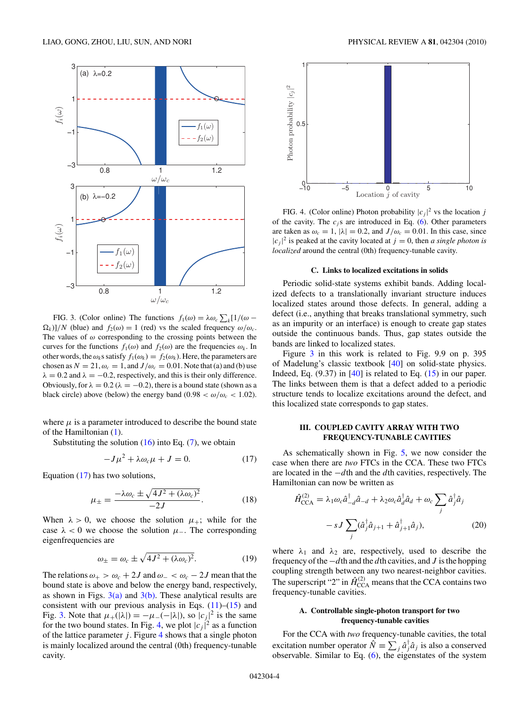<span id="page-3-0"></span>

FIG. 3. (Color online) The functions  $f_1(\omega) = \lambda \omega_c \sum_k [1/(\omega \Omega_k$ )]/*N* (blue) and  $f_2(\omega) = 1$  (red) vs the scaled frequency  $\omega/\omega_c$ . The values of  $\omega$  corresponding to the crossing points between the curves for the functions  $f_1(\omega)$  and  $f_2(\omega)$  are the frequencies  $\omega_k$ . In other words, the  $\omega_k$ s satisfy  $f_1(\omega_k) = f_2(\omega_k)$ . Here, the parameters are chosen as  $N = 21$ ,  $\omega_c = 1$ , and  $J/\omega_c = 0.01$ . Note that (a) and (b) use  $\lambda = 0.2$  and  $\lambda = -0.2$ , respectively, and this is their only difference. Obviously, for  $\lambda = 0.2$  ( $\lambda = -0.2$ ), there is a bound state (shown as a black circle) above (below) the energy band (0.98  $< \omega/\omega_c < 1.02$ ).

where  $\mu$  is a parameter introduced to describe the bound state of the Hamiltonian [\(1\)](#page-1-0).

Substituting the solution  $(16)$  into Eq.  $(7)$ , we obtain

$$
-J\mu^2 + \lambda \omega_c \mu + J = 0. \tag{17}
$$

Equation  $(17)$  has two solutions,

$$
\mu_{\pm} = \frac{-\lambda \omega_c \pm \sqrt{4J^2 + (\lambda \omega_c)^2}}{-2J}.
$$
\n(18)

When  $\lambda > 0$ , we choose the solution  $\mu_+$ ; while for the case  $\lambda$  < 0 we choose the solution  $\mu$ <sub>−</sub>. The corresponding eigenfrequencies are

$$
\omega_{\pm} = \omega_c \pm \sqrt{4J^2 + (\lambda \omega_c)^2}.
$$
 (19)

The relations  $\omega_+ > \omega_c + 2J$  and  $\omega_- < \omega_c - 2J$  mean that the bound state is above and below the energy band, respectively, as shown in Figs.  $3(a)$  and  $3(b)$ . These analytical results are consistent with our previous analysis in Eqs.  $(11)$ – $(15)$  and Fig. 3. Note that  $\mu_+(\vert \lambda \vert) = -\mu_-(-\vert \lambda \vert)$ , so  $\vert c_j \vert^2$  is the same for the two bound states. In Fig. 4, we plot  $|c_j|^2$  as a function of the lattice parameter  $j$ . Figure  $4$  shows that a single photon is mainly localized around the central (0th) frequency-tunable cavity.



FIG. 4. (Color online) Photon probability  $|c_j|^2$  vs the location *j* of the cavity. The  $c_j$ s are introduced in Eq. [\(6\)](#page-2-0). Other parameters are taken as  $\omega_c = 1$ ,  $|\lambda| = 0.2$ , and  $J/\omega_c = 0.01$ . In this case, since  $|c_j|^2$  is peaked at the cavity located at  $j = 0$ , then *a single photon is localized* around the central (0th) frequency-tunable cavity.

#### **C. Links to localized excitations in solids**

Periodic solid-state systems exhibit bands. Adding localized defects to a translationally invariant structure induces localized states around those defects. In general, adding a defect (i.e., anything that breaks translational symmetry, such as an impurity or an interface) is enough to create gap states outside the continuous bands. Thus, gap states outside the bands are linked to localized states.

Figure 3 in this work is related to Fig. 9.9 on p. 395 of Madelung's classic textbook [\[40\]](#page-9-0) on solid-state physics. Indeed, Eq.  $(9.37)$  in  $[40]$  is related to Eq.  $(15)$  in our paper. The links between them is that a defect added to a periodic structure tends to localize excitations around the defect, and this localized state corresponds to gap states.

# **III. COUPLED CAVITY ARRAY WITH TWO FREQUENCY-TUNABLE CAVITIES**

As schematically shown in Fig. [5,](#page-4-0) we now consider the case when there are *two* FTCs in the CCA. These two FTCs are located in the −*d*th and the *d*th cavities, respectively. The Hamiltonian can now be written as

$$
\hat{H}_{\text{CCA}}^{(2)} = \lambda_1 \omega_c \hat{a}_{-d}^\dagger \hat{a}_{-d} + \lambda_2 \omega_c \hat{a}_d^\dagger \hat{a}_d + \omega_c \sum_j \hat{a}_j^\dagger \hat{a}_j
$$

$$
-sJ \sum_j (\hat{a}_j^\dagger \hat{a}_{j+1} + \hat{a}_{j+1}^\dagger \hat{a}_j), \tag{20}
$$

where  $\lambda_1$  and  $\lambda_2$  are, respectively, used to describe the frequency of the−*d*th and the *d*th cavities, and *J* is the hopping coupling strength between any two nearest-neighbor cavities. The superscript "2" in  $\hat{H}_{\text{CCA}}^{(2)}$  means that the CCA contains two frequency-tunable cavities.

# **A. Controllable single-photon transport for two frequency-tunable cavities**

For the CCA with *two* frequency-tunable cavities, the total excitation number operator  $\hat{N} = \sum_j \hat{a}_j^{\dagger} \hat{a}_j$  is also a conserved observable. Similar to Eq.  $(6)$ , the eigenstates of the system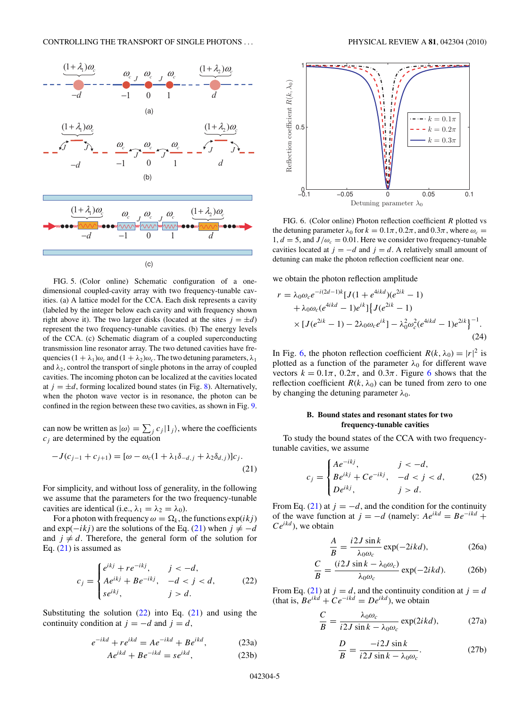<span id="page-4-0"></span>

FIG. 5. (Color online) Schematic configuration of a onedimensional coupled-cavity array with two frequency-tunable cavities. (a) A lattice model for the CCA. Each disk represents a cavity (labeled by the integer below each cavity and with frequency shown right above it). The two larger disks (located at the sites  $j = \pm d$ ) represent the two frequency-tunable cavities. (b) The energy levels of the CCA. (c) Schematic diagram of a coupled superconducting transmission line resonator array. The two detuned cavities have frequencies  $(1 + \lambda_1)\omega_c$  and  $(1 + \lambda_2)\omega_c$ . The two detuning parameters,  $\lambda_1$ and  $\lambda_2$ , control the transport of single photons in the array of coupled cavities. The incoming photon can be localized at the cavities located at  $j = \pm d$ , forming localized bound states (in Fig. [8\)](#page-5-0). Alternatively, when the photon wave vector is in resonance, the photon can be confined in the region between these two cavities, as shown in Fig. [9.](#page-6-0)

can now be written as  $|\omega\rangle = \sum_j c_j |1_j\rangle$ , where the coefficients *cj* are determined by the equation

$$
-J(c_{j-1} + c_{j+1}) = [\omega - \omega_c (1 + \lambda_1 \delta_{-d,j} + \lambda_2 \delta_{d,j})]c_j.
$$
\n(21)

For simplicity, and without loss of generality, in the following we assume that the parameters for the two frequency-tunable cavities are identical (i.e.,  $\lambda_1 = \lambda_2 = \lambda_0$ ).

For a photon with frequency  $\omega = \Omega_k$ , the functions  $\exp(ikj)$ and exp( $-iki$ ) are the solutions of the Eq. (21) when  $j \neq -d$ and  $j \neq d$ . Therefore, the general form of the solution for Eq.  $(21)$  is assumed as

$$
c_{j} = \begin{cases} e^{ikj} + re^{-ikj}, & j < -d, \\ Ae^{ikj} + Be^{-ikj}, & -d < j < d, \\ se^{ikj}, & j > d. \end{cases}
$$
 (22)

Substituting the solution  $(22)$  into Eq.  $(21)$  and using the continuity condition at  $j = -d$  and  $j = d$ ,

$$
e^{-ikd} + re^{ikd} = Ae^{-ikd} + Be^{ikd}, \qquad (23a)
$$

$$
Ae^{ikd} + Be^{-ikd} = se^{ikd},\tag{23b}
$$



FIG. 6. (Color online) Photon reflection coefficient *R* plotted vs the detuning parameter  $\lambda_0$  for  $k = 0.1\pi, 0.2\pi,$  and  $0.3\pi$ , where  $\omega_c =$ 1,  $d = 5$ , and  $J/\omega_c = 0.01$ . Here we consider two frequency-tunable cavities located at  $j = -d$  and  $j = d$ . A relatively small amount of detuning can make the photon reflection coefficient near one.

we obtain the photon reflection amplitude

$$
r = \lambda_0 \omega_c e^{-i(2d-1)k} [J(1 + e^{4ikd})(e^{2ik} - 1) + \lambda_0 \omega_c (e^{4ikd} - 1)e^{ik}] \{ J(e^{2ik} - 1) \times [J(e^{2ik} - 1) - 2\lambda_0 \omega_c e^{ik}] - \lambda_0^2 \omega_c^2 (e^{4ikd} - 1)e^{2ik}]^{-1}.
$$
\n(24)

In Fig. 6, the photon reflection coefficient  $R(k, \lambda_0) = |r|^2$  is plotted as a function of the parameter  $\lambda_0$  for different wave vectors  $k = 0.1\pi$ ,  $0.2\pi$ , and  $0.3\pi$ . Figure 6 shows that the reflection coefficient  $R(k, \lambda_0)$  can be tuned from zero to one by changing the detuning parameter *λ*0.

### **B. Bound states and resonant states for two frequency-tunable cavities**

To study the bound states of the CCA with two frequencytunable cavities, we assume

$$
c_j = \begin{cases} Ae^{-ikj}, & j < -d, \\ Be^{ikj} + Ce^{-ikj}, & -d < j < d, \\ De^{ikj}, & j > d. \end{cases}
$$
 (25)

From Eq. (21) at  $j = -d$ , and the condition for the continuity of the wave function at  $j = -d$  (namely:  $Ae^{ikd} = Be^{-ikd} +$ *Ceikd* ), we obtain

$$
\frac{A}{B} = \frac{i2J\sin k}{\lambda_0 \omega_c} \exp(-2ikd),\tag{26a}
$$

$$
\frac{C}{B} = \frac{(i2J\sin k - \lambda_0\omega_c)}{\lambda_0\omega_c} \exp(-2ikd). \tag{26b}
$$

From Eq. (21) at  $j = d$ , and the continuity condition at  $j = d$ (that is,  $Be^{ikd} + Ce^{-ikd} = De^{ikd}$ ), we obtain

$$
\frac{C}{B} = \frac{\lambda_0 \omega_c}{i2J \sin k - \lambda_0 \omega_c} \exp(2ikd),\tag{27a}
$$

$$
\frac{D}{B} = \frac{-i2J\sin k}{i2J\sin k - \lambda_0\omega_c}.
$$
 (27b)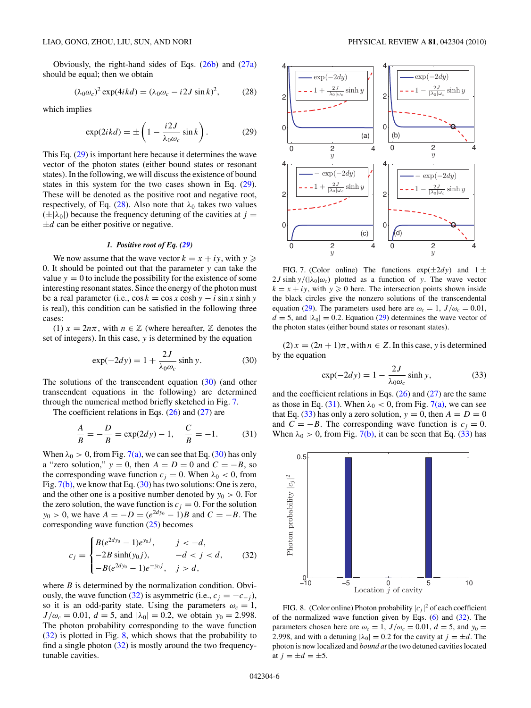<span id="page-5-0"></span>Obviously, the right-hand sides of Eqs. [\(26b\)](#page-4-0) and [\(27a\)](#page-4-0) should be equal; then we obtain

$$
(\lambda_0 \omega_c)^2 \exp(4ikd) = (\lambda_0 \omega_c - i2J\sin k)^2, \qquad (28)
$$

which implies

$$
\exp(2ikd) = \pm \left(1 - \frac{i2J}{\lambda_0 \omega_c} \sin k\right). \tag{29}
$$

This Eq. (29) is important here because it determines the wave vector of the photon states (either bound states or resonant states). In the following, we will discuss the existence of bound states in this system for the two cases shown in Eq. (29). These will be denoted as the positive root and negative root, respectively, of Eq.  $(28)$ . Also note that  $\lambda_0$  takes two values  $(\pm|\lambda_0|)$  because the frequency detuning of the cavities at *j* =  $\pm d$  can be either positive or negative.

#### *1. Positive root of Eq. (29)*

We now assume that the wave vector  $k = x + iy$ , with  $y \geqslant$ 0. It should be pointed out that the parameter *y* can take the value  $y = 0$  to include the possibility for the existence of some interesting resonant states. Since the energy of the photon must be a real parameter (i.e.,  $\cos k = \cos x \cosh y - i \sin x \sinh y$ is real), this condition can be satisfied in the following three cases:

(1)  $x = 2n\pi$ , with  $n \in \mathbb{Z}$  (where hereafter,  $\mathbb Z$  denotes the set of integers). In this case, *y* is determined by the equation

$$
\exp(-2dy) = 1 + \frac{2J}{\lambda_0 \omega_c} \sinh y.
$$
 (30)

The solutions of the transcendent equation (30) (and other transcendent equations in the following) are determined through the numerical method briefly sketched in Fig. 7.

The coefficient relations in Eqs.  $(26)$  and  $(27)$  are

$$
\frac{A}{B} = -\frac{D}{B} = \exp(2dy) - 1, \quad \frac{C}{B} = -1.
$$
 (31)

When  $\lambda_0 > 0$ , from Fig. 7(a), we can see that Eq. (30) has only a "zero solution,"  $y = 0$ , then  $A = D = 0$  and  $C = -B$ , so the corresponding wave function  $c_j = 0$ . When  $\lambda_0 < 0$ , from Fig. 7(b), we know that Eq. (30) has two solutions: One is zero, and the other one is a positive number denoted by  $y_0 > 0$ . For the zero solution, the wave function is  $c_j = 0$ . For the solution *y*<sub>0</sub> > 0, we have  $A = -D = (e^{2dy_0} - 1)B$  and  $C = -B$ . The corresponding wave function [\(25\)](#page-4-0) becomes

$$
c_j = \begin{cases} B(e^{2dy_0} - 1)e^{y_0 j}, & j < -d, \\ -2B \sinh(y_0 j), & -d < j < d, \\ -B(e^{2dy_0} - 1)e^{-y_0 j}, & j > d, \end{cases}
$$
 (32)

where *B* is determined by the normalization condition. Obviously, the wave function (32) is asymmetric (i.e.,  $c_j = -c_{-j}$ ), so it is an odd-parity state. Using the parameters  $\omega_c = 1$ ,  $J/\omega_c = 0.01$ ,  $d = 5$ , and  $|\lambda_0| = 0.2$ , we obtain  $y_0 = 2.998$ . The photon probability corresponding to the wave function (32) is plotted in Fig. 8, which shows that the probability to find a single photon  $(32)$  is mostly around the two frequencytunable cavities.



FIG. 7. (Color online) The functions  $exp(\pm 2dy)$  and  $1 \pm$  $2J \sinh y/(\lambda_0|\omega_c)$  plotted as a function of *y*. The wave vector  $k = x + iy$ , with  $y \ge 0$  here. The intersection points shown inside the black circles give the nonzero solutions of the transcendental equation (29). The parameters used here are  $\omega_c = 1$ ,  $J/\omega_c = 0.01$ ,  $d = 5$ , and  $|\lambda_0| = 0.2$ . Equation (29) determines the wave vector of the photon states (either bound states or resonant states).

 $(2) x = (2n + 1)\pi$ , with  $n \in \mathbb{Z}$ . In this case, *y* is determined by the equation

$$
\exp(-2dy) = 1 - \frac{2J}{\lambda_0 \omega_c} \sinh y,\tag{33}
$$

and the coefficient relations in Eqs.  $(26)$  and  $(27)$  are the same as those in Eq. (31). When  $\lambda_0 < 0$ , from Fig. 7(a), we can see that Eq. (33) has only a zero solution,  $y = 0$ , then  $A = D = 0$ and  $C = -B$ . The corresponding wave function is  $c_i = 0$ . When  $\lambda_0 > 0$ , from Fig. 7(b), it can be seen that Eq. (33) has



FIG. 8. (Color online) Photon probability  $|c_j|^2$  of each coefficient of the normalized wave function given by Eqs.  $(6)$  and  $(32)$ . The parameters chosen here are  $\omega_c = 1$ ,  $J/\omega_c = 0.01$ ,  $d = 5$ , and  $y_0 =$ 2.998, and with a detuning  $|\lambda_0| = 0.2$  for the cavity at  $j = \pm d$ . The photon is now localized and *bound at* the two detuned cavities located at  $j = \pm d = \pm 5$ .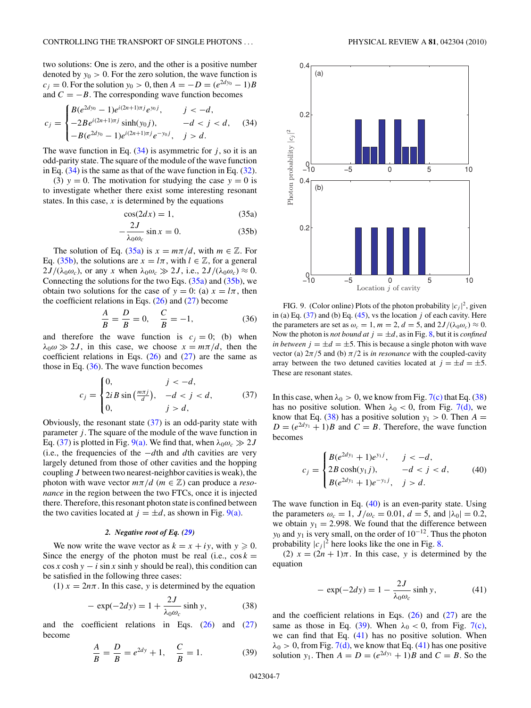<span id="page-6-0"></span>two solutions: One is zero, and the other is a positive number denoted by  $y_0 > 0$ . For the zero solution, the wave function is  $c_j = 0$ . For the solution  $y_0 > 0$ , then  $A = -D = (e^{2dy_0} - 1)B$ and  $C = -B$ . The corresponding wave function becomes

$$
c_j = \begin{cases} B(e^{2dy_0} - 1)e^{i(2n+1)\pi j}e^{y_0 j}, & j < -d, \\ -2Be^{i(2n+1)\pi j}\sinh(y_0 j), & -d < j < d, \\ -B(e^{2dy_0} - 1)e^{i(2n+1)\pi j}e^{-y_0 j}, & j > d. \end{cases}
$$
(34)

The wave function in Eq.  $(34)$  is asymmetric for *j*, so it is an odd-parity state. The square of the module of the wave function in Eq.  $(34)$  is the same as that of the wave function in Eq.  $(32)$ .

(3)  $y = 0$ . The motivation for studying the case  $y = 0$  is to investigate whether there exist some interesting resonant states. In this case,  $x$  is determined by the equations

$$
\cos(2dx) = 1,\tag{35a}
$$

$$
-\frac{2J}{\lambda_0 \omega_c} \sin x = 0.
$$
 (35b)

The solution of Eq. (35a) is  $x = m\pi/d$ , with  $m \in \mathbb{Z}$ . For Eq. (35b), the solutions are  $x = l\pi$ , with  $l \in \mathbb{Z}$ , for a general  $2J/(\lambda_0\omega_c)$ , or any *x* when  $\lambda_0\omega_c \gg 2J$ , i.e.,  $2J/(\lambda_0\omega_c) \approx 0$ . Connecting the solutions for the two Eqs.  $(35a)$  and  $(35b)$ , we obtain two solutions for the case of  $y = 0$ : (a)  $x = l\pi$ , then the coefficient relations in Eqs.  $(26)$  and  $(27)$  become

$$
\frac{A}{B} = \frac{D}{B} = 0, \quad \frac{C}{B} = -1,\tag{36}
$$

and therefore the wave function is  $c_i = 0$ ; (b) when  $\lambda_0 \omega \gg 2J$ , in this case, we choose  $x = m\pi/d$ , then the coefficient relations in Eqs.  $(26)$  and  $(27)$  are the same as those in Eq.  $(36)$ . The wave function becomes

$$
c_j = \begin{cases} 0, & j < -d, \\ 2i \sin\left(\frac{m\pi j}{d}\right), & -d < j < d, \\ 0, & j > d, \end{cases} \tag{37}
$$

Obviously, the resonant state  $(37)$  is an odd-parity state with parameter *j* . The square of the module of the wave function in Eq. (37) is plotted in Fig. 9(a). We find that, when  $\lambda_0 \omega_c \gg 2J$ (i.e., the frequencies of the −*d*th and *d*th cavities are very largely detuned from those of other cavities and the hopping coupling *J* between two nearest-neighbor cavities is weak), the photon with wave vector  $m\pi/d$  ( $m \in \mathbb{Z}$ ) can produce a *resonance* in the region between the two FTCs, once it is injected there. Therefore, this resonant photon state is confined between the two cavities located at  $j = \pm d$ , as shown in Fig. 9(a).

#### *2. Negative root of Eq. [\(29\)](#page-5-0)*

We now write the wave vector as  $k = x + iy$ , with  $y \ge 0$ . Since the energy of the photon must be real (i.e.,  $\cos k =$  $\cos x \cosh y - i \sin x \sinh y$  should be real), this condition can be satisfied in the following three cases:

(1)  $x = 2n\pi$ . In this case, *y* is determined by the equation

$$
-\exp(-2dy) = 1 + \frac{2J}{\lambda_0 \omega_c} \sinh y,\tag{38}
$$

and the coefficient relations in Eqs.  $(26)$  and  $(27)$ become

*A*

$$
\frac{A}{B} = \frac{D}{B} = e^{2dy} + 1, \quad \frac{C}{B} = 1.
$$
 (39)



FIG. 9. (Color online) Plots of the photon probability  $|c_j|^2$ , given in (a) Eq.  $(37)$  and (b) Eq.  $(45)$ , vs the location *j* of each cavity. Here the parameters are set as  $\omega_c = 1$ ,  $m = 2$ ,  $d = 5$ , and  $2J/(\lambda_0 \omega_c) \approx 0$ . Now the photon is *not bound at*  $j = \pm d$ , as in Fig. [8,](#page-5-0) but it is *confined in between*  $j = \pm d = \pm 5$ . This is because a single photon with wave vector (a)  $2\pi/5$  and (b)  $\pi/2$  is *in resonance* with the coupled-cavity array between the two detuned cavities located at  $j = \pm d = \pm 5$ . These are resonant states.

In this case, when  $\lambda_0 > 0$ , we know from Fig. [7\(c\)](#page-5-0) that Eq. (38) has no positive solution. When  $\lambda_0 < 0$ , from Fig. [7\(d\),](#page-5-0) we know that Eq. (38) has a positive solution  $y_1 > 0$ . Then  $A =$  $D = (e^{2dy_1} + 1)B$  and  $C = B$ . Therefore, the wave function becomes

$$
c_j = \begin{cases} B(e^{2dy_1} + 1)e^{y_1 j}, & j < -d, \\ 2B \cosh(y_1 j), & -d < j < d, \\ B(e^{2dy_1} + 1)e^{-y_1 j}, & j > d. \end{cases}
$$
 (40)

The wave function in Eq.  $(40)$  is an even-parity state. Using the parameters  $\omega_c = 1$ ,  $J/\omega_c = 0.01$ ,  $d = 5$ , and  $|\lambda_0| = 0.2$ , we obtain  $y_1 = 2.998$ . We found that the difference between *y*<sub>0</sub> and *y*<sub>1</sub> is very small, on the order of 10<sup>−12</sup>. Thus the photon probability  $|c_j|^2$  here looks like the one in Fig. [8.](#page-5-0)

(2)  $x = (2n + 1)\pi$ . In this case, *y* is determined by the equation

$$
-\exp(-2dy) = 1 - \frac{2J}{\lambda_0 \omega_c} \sinh y,\tag{41}
$$

and the coefficient relations in Eqs.  $(26)$  and  $(27)$  are the same as those in Eq. (39). When  $\lambda_0 < 0$ , from Fig. [7\(c\),](#page-5-0) we can find that Eq. (41) has no positive solution. When  $\lambda_0$  > 0, from Fig. [7\(d\),](#page-5-0) we know that Eq. (41) has one positive solution *y*<sub>1</sub>. Then  $A = D = (e^{2dy_1} + 1)B$  and  $C = B$ . So the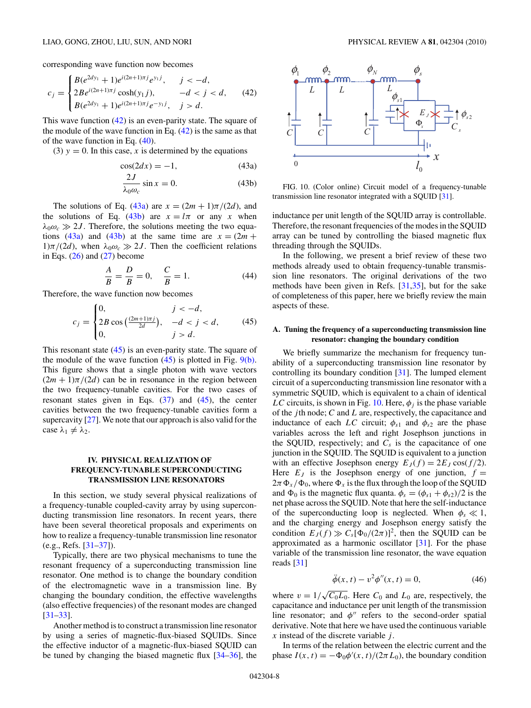<span id="page-7-0"></span>corresponding wave function now becomes

$$
c_j = \begin{cases} B(e^{2dy_1} + 1)e^{i(2n+1)\pi j}e^{y_1 j}, & j < -d, \\ 2Be^{i(2n+1)\pi j}\cosh(y_1 j), & -d < j < d, \\ B(e^{2dy_1} + 1)e^{i(2n+1)\pi j}e^{-y_1 j}, & j > d. \end{cases}
$$
 (42)

This wave function  $(42)$  is an even-parity state. The square of the module of the wave function in Eq.  $(42)$  is the same as that of the wave function in Eq. [\(40\)](#page-6-0).

(3)  $y = 0$ . In this case, *x* is determined by the equations

$$
\cos(2dx) = -1,\tag{43a}
$$

$$
\frac{2J}{\lambda_0 \omega_c} \sin x = 0. \tag{43b}
$$

The solutions of Eq. (43a) are  $x = (2m + 1)\pi/(2d)$ , and the solutions of Eq. (43b) are  $x = l\pi$  or any x when  $\lambda_0 \omega_c \gg 2J$ . Therefore, the solutions meeting the two equations (43a) and (43b) at the same time are  $x = (2m +$ 1) $\pi/(2d)$ , when  $\lambda_0 \omega_c \gg 2J$ . Then the coefficient relations in Eqs.  $(26)$  and  $(27)$  become

$$
\frac{A}{B} = \frac{D}{B} = 0, \quad \frac{C}{B} = 1.
$$
 (44)

Therefore, the wave function now becomes

$$
c_j = \begin{cases} 0, & j < -d, \\ 2B \cos\left(\frac{(2m+1)\pi j}{2d}\right), & -d < j < d, \\ 0, & j > d. \end{cases}
$$
 (45)

This resonant state  $(45)$  is an even-parity state. The square of the module of the wave function  $(45)$  is plotted in Fig. [9\(b\).](#page-6-0) This figure shows that a single photon with wave vectors  $(2m + 1)\pi/(2d)$  can be in resonance in the region between the two frequency-tunable cavities. For the two cases of resonant states given in Eqs.  $(37)$  and  $(45)$ , the center cavities between the two frequency-tunable cavities form a supercavity [\[27\]](#page-9-0). We note that our approach is also valid for the case  $\lambda_1 \neq \lambda_2$ .

# **IV. PHYSICAL REALIZATION OF FREQUENCY-TUNABLE SUPERCONDUCTING TRANSMISSION LINE RESONATORS**

In this section, we study several physical realizations of a frequency-tunable coupled-cavity array by using superconducting transmission line resonators. In recent years, there have been several theoretical proposals and experiments on how to realize a frequency-tunable transmission line resonator (e.g., Refs. [\[31–37\]](#page-9-0)).

Typically, there are two physical mechanisms to tune the resonant frequency of a superconducting transmission line resonator. One method is to change the boundary condition of the electromagnetic wave in a transmission line. By changing the boundary condition, the effective wavelengths (also effective frequencies) of the resonant modes are changed [\[31–33\]](#page-9-0).

Another method is to construct a transmission line resonator by using a series of magnetic-flux-biased SQUIDs. Since the effective inductor of a magnetic-flux-biased SQUID can be tuned by changing the biased magnetic flux  $[34-36]$ , the



FIG. 10. (Color online) Circuit model of a frequency-tunable transmission line resonator integrated with a SQUID [\[31\]](#page-9-0).

inductance per unit length of the SQUID array is controllable. Therefore, the resonant frequencies of the modes in the SQUID array can be tuned by controlling the biased magnetic flux threading through the SQUIDs.

In the following, we present a brief review of these two methods already used to obtain frequency-tunable transmission line resonators. The original derivations of the two methods have been given in Refs. [\[31,35\]](#page-9-0), but for the sake of completeness of this paper, here we briefly review the main aspects of these.

# **A. Tuning the frequency of a superconducting transmission line resonator: changing the boundary condition**

We briefly summarize the mechanism for frequency tunability of a superconducting transmission line resonator by controlling its boundary condition [\[31\]](#page-9-0). The lumped element circuit of a superconducting transmission line resonator with a symmetric SQUID, which is equivalent to a chain of identical *LC* circuits, is shown in Fig. 10. Here,  $\phi_i$  is the phase variable of the *j* th node; *C* and *L* are, respectively, the capacitance and inductance of each *LC* circuit;  $\phi_{s1}$  and  $\phi_{s2}$  are the phase variables across the left and right Josephson junctions in the SQUID, respectively; and  $C_s$  is the capacitance of one junction in the SQUID. The SQUID is equivalent to a junction with an effective Josephson energy  $E_J(f) = 2E_J \cos(f/2)$ . Here  $E_J$  is the Josephson energy of one junction,  $f =$  $2\pi \Phi_x / \Phi_0$ , where  $\Phi_x$  is the flux through the loop of the SQUID and  $\Phi_0$  is the magnetic flux quanta.  $\phi_s = (\phi_{s1} + \phi_{s2})/2$  is the net phase across the SQUID. Note that here the self-inductance of the superconducting loop is neglected. When  $\phi_s \ll 1$ , and the charging energy and Josephson energy satisfy the condition  $E_J(f) \gg C_s[\Phi_0/(2\pi)]^2$ , then the SQUID can be approximated as a harmonic oscillator [\[31\]](#page-9-0). For the phase variable of the transmission line resonator, the wave equation reads [\[31\]](#page-9-0)

$$
\ddot{\phi}(x,t) - v^2 \phi''(x,t) = 0,\t(46)
$$

where  $v = 1/\sqrt{C_0 L_0}$ . Here  $C_0$  and  $L_0$  are, respectively, the capacitance and inductance per unit length of the transmission line resonator; and  $\phi''$  refers to the second-order spatial derivative. Note that here we have used the continuous variable *x* instead of the discrete variable *j* .

In terms of the relation between the electric current and the phase  $I(x, t) = -\Phi_0 \phi'(x, t)/(2\pi L_0)$ , the boundary condition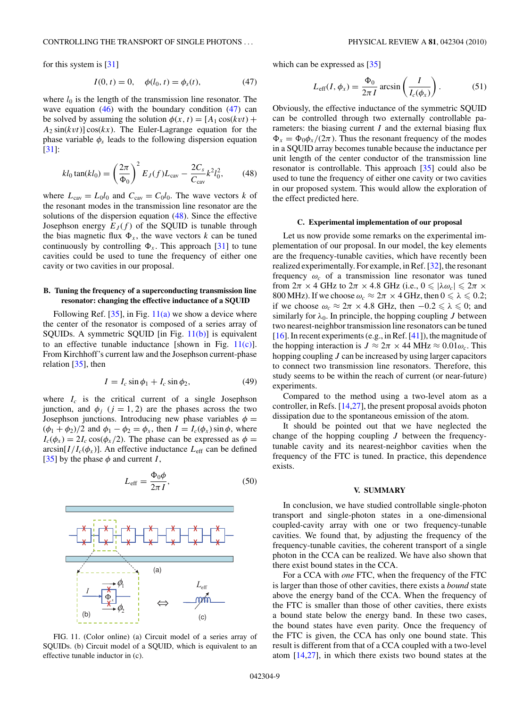<span id="page-8-0"></span>for this system is [\[31\]](#page-9-0)

$$
I(0, t) = 0, \quad \phi(l_0, t) = \phi_s(t), \tag{47}
$$

where  $l_0$  is the length of the transmission line resonator. The wave equation  $(46)$  with the boundary condition  $(47)$  can be solved by assuming the solution  $\phi(x, t) = [A_1 \cos(kvt) +$  $A_2 \sin(kvt) \cos(kx)$ . The Euler-Lagrange equation for the phase variable  $\phi_s$  leads to the following dispersion equation [\[31\]](#page-9-0):

$$
kl_0 \tan(kl_0) = \left(\frac{2\pi}{\Phi_0}\right)^2 E_J(f) L_{\text{cav}} - \frac{2C_s}{C_{\text{cav}}} k^2 l_0^2,\tag{48}
$$

where  $L_{\text{cav}} = L_0 l_0$  and  $C_{\text{cav}} = C_0 l_0$ . The wave vectors *k* of the resonant modes in the transmission line resonator are the solutions of the dispersion equation (48). Since the effective Josephson energy  $E_J(f)$  of the SQUID is tunable through the bias magnetic flux  $\Phi_x$ , the wave vectors *k* can be tuned continuously by controlling  $\Phi_x$ . This approach [\[31\]](#page-9-0) to tune cavities could be used to tune the frequency of either one cavity or two cavities in our proposal.

### **B. Tuning the frequency of a superconducting transmission line resonator: changing the effective inductance of a SQUID**

Following Ref.  $[35]$ , in Fig.  $11(a)$  we show a device where the center of the resonator is composed of a series array of SQUIDs. A symmetric SQUID [in Fig. 11(b)] is equivalent to an effective tunable inductance [shown in Fig.  $11(c)$ ]. From Kirchhoff's current law and the Josephson current-phase relation [\[35\]](#page-9-0), then

$$
I = I_c \sin \phi_1 + I_c \sin \phi_2, \tag{49}
$$

where  $I_c$  is the critical current of a single Josephson junction, and  $\phi_i$  ( $j = 1, 2$ ) are the phases across the two Josephson junctions. Introducing new phase variables  $\phi$  =  $(\phi_1 + \phi_2)/2$  and  $\phi_1 - \phi_2 = \phi_x$ , then  $I = I_c(\phi_x) \sin \phi$ , where  $I_c(\phi_x) = 2I_c \cos(\phi_x/2)$ . The phase can be expressed as  $\phi =$  $arcsin[I/I_c(\phi_x)]$ . An effective inductance  $L_{\text{eff}}$  can be defined [\[35\]](#page-9-0) by the phase  $\phi$  and current *I*,

$$
L_{\text{eff}} = \frac{\Phi_0 \phi}{2\pi I},\tag{50}
$$



FIG. 11. (Color online) (a) Circuit model of a series array of SQUIDs. (b) Circuit model of a SQUID, which is equivalent to an effective tunable inductor in (c).

which can be expressed as [\[35\]](#page-9-0)

$$
L_{\text{eff}}(I, \phi_x) = \frac{\Phi_0}{2\pi I} \arcsin\left(\frac{I}{I_c(\phi_x)}\right). \tag{51}
$$

Obviously, the effective inductance of the symmetric SQUID can be controlled through two externally controllable parameters: the biasing current *I* and the external biasing flux  $\Phi_x = \Phi_0 \phi_x / (2\pi)$ . Thus the resonant frequency of the modes in a SQUID array becomes tunable because the inductance per unit length of the center conductor of the transmission line resonator is controllable. This approach [\[35\]](#page-9-0) could also be used to tune the frequency of either one cavity or two cavities in our proposed system. This would allow the exploration of the effect predicted here.

### **C. Experimental implementation of our proposal**

Let us now provide some remarks on the experimental implementation of our proposal. In our model, the key elements are the frequency-tunable cavities, which have recently been realized experimentally. For example, in Ref. [\[32\]](#page-9-0), the resonant frequency  $\omega_c$  of a transmission line resonator was tuned from  $2\pi \times 4$  GHz to  $2\pi \times 4.8$  GHz (i.e.,  $0 \le |\lambda \omega_c| \le 2\pi \times$ 800 MHz). If we choose  $\omega_c \approx 2\pi \times 4$  GHz, then  $0 \le \lambda \le 0.2$ ; if we choose  $\omega_c \approx 2\pi \times 4.8$  GHz, then  $-0.2 \le \lambda \le 0$ ; and similarly for  $\lambda_0$ . In principle, the hopping coupling *J* between two nearest-neighbor transmission line resonators can be tuned [\[16\]](#page-9-0). In recent experiments (e.g., in Ref. [\[41\]](#page-9-0)), the magnitude of the hopping interaction is  $J \approx 2\pi \times 44 \text{ MHz} \approx 0.01 \omega_c$ . This hopping coupling *J* can be increased by using larger capacitors to connect two transmission line resonators. Therefore, this study seems to be within the reach of current (or near-future) experiments.

Compared to the method using a two-level atom as a controller, in Refs. [\[14,27\]](#page-9-0), the present proposal avoids photon dissipation due to the spontaneous emission of the atom.

It should be pointed out that we have neglected the change of the hopping coupling *J* between the frequencytunable cavity and its nearest-neighbor cavities when the frequency of the FTC is tuned. In practice, this dependence exists.

#### **V. SUMMARY**

In conclusion, we have studied controllable single-photon transport and single-photon states in a one-dimensional coupled-cavity array with one or two frequency-tunable cavities. We found that, by adjusting the frequency of the frequency-tunable cavities, the coherent transport of a single photon in the CCA can be realized. We have also shown that there exist bound states in the CCA.

For a CCA with *one* FTC, when the frequency of the FTC is larger than those of other cavities, there exists a *bound* state above the energy band of the CCA. When the frequency of the FTC is smaller than those of other cavities, there exists a bound state below the energy band. In these two cases, the bound states have even parity. Once the frequency of the FTC is given, the CCA has only one bound state. This result is different from that of a CCA coupled with a two-level atom [\[14,27\]](#page-9-0), in which there exists two bound states at the